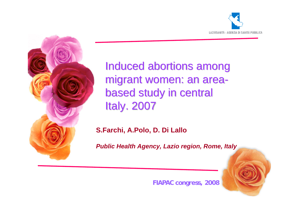



Induced abortions among migrant women: an areabased study in central **Italy. 2007** 

**S.Farchi, A.Polo, D. Di Lallo** 

*Public Health Agency, Lazio region, Rome, Italy*

**FIAPAC congress, 2008**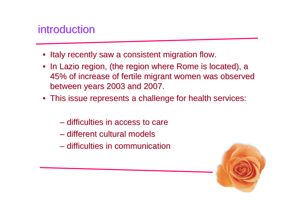# introduction

- Italy recently saw a consistent migration flow.
- In Lazio region, (the region where Rome is located), a 45% of increase of fertile migrant women was observed 45% of increase of fertile migrant women was observed between years 2003 and 2007.
- This issue represents a challenge for health services:
	- difficulties in access to care
	- different cultural models
	- $-$  difficulties in communication

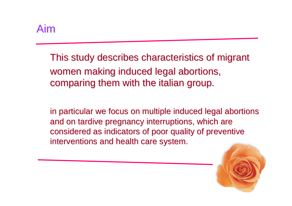Aim

This study describes characteristics of migrant This study describes characteristics of migrant women making induced legal abortions, comparing them with the italian group.

in particular we focus on multiple induced legal abortions and on tardive pregnancy interruptions, which are considered as indicators of poor quality of preventive interventions and health care system.

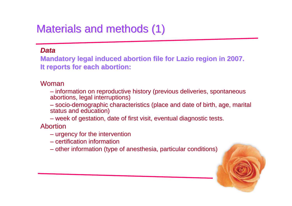# Materials and methods (1)

#### *Data*

**Mandatory legal induced abortion file for Lazio region in 2007. It reports for each abortion: It reports for each abortion:**

#### Woman

– information on reproductive history (previous deliveries, spontaneous abortions, legal interruptions)

– socio-demographic characteristics (place and date of birth, age, marital status and education)

– week of gestation, date of first visit, eventual diagnostic tests.

Abortion

- urgency for the intervention
- certification information certification information
- other information (type of anesthesia, particular conditions)

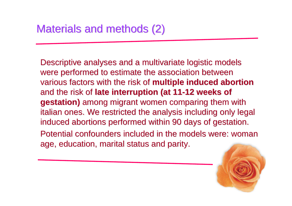Descriptive analyses and a multivariate logistic models were performed to estimate the association between various factors with the risk of **multiple induced abortion** and the risk of late interruption (at 11-12 weeks of **gestation)** among migrant women comparing them with italian ones. We restricted the analysis including only legal induced abortions performed within 90 days of gestation. Potential confounders included in the models were: woman age, education, marital status and parity.

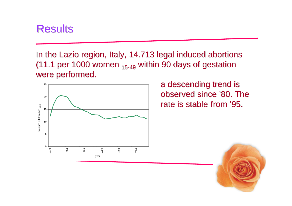# Results

In the Lazio region, Italy, 14.713 legal induced abortions (11.1 per 1000 women  $_{15-49}$  within 90 days of gestation were performed.



a descending trend is observed since '80. The rate is stable from '95.

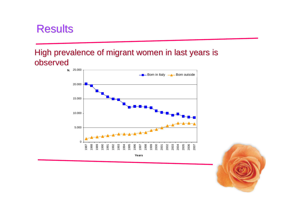# Results

## High prevalence of migrant women in last years is observed



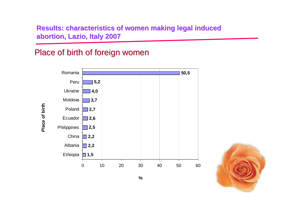## Place of birth of foreign women

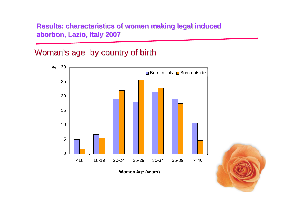## Woman's age by country of birth



**Women Age (years)**

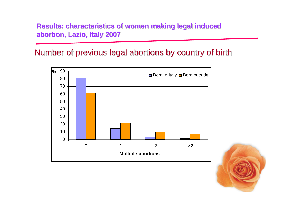## Number of previous legal abortions by country of birth



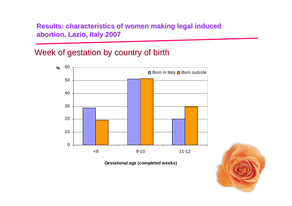## Week of gestation by country of birth



**Gestational age (completed weeks)**

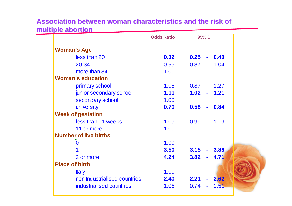#### **Association Association between between woman characteristics characteristics and the and the riskof multiple abortion**

|                              | <b>Odds Ratio</b> |               | 95% CI         |            |  |
|------------------------------|-------------------|---------------|----------------|------------|--|
| <b>Woman's Age</b>           |                   |               |                |            |  |
| less than 20                 | 0.32              | 0.25          |                | $-0.40$    |  |
| 20-34                        | 0.95              | 0.87          | $\mathbf{a}$ . | 1.04       |  |
| more than 34                 | 1.00              |               |                |            |  |
| <b>Woman's education</b>     |                   |               |                |            |  |
| primary school               | 1.05              | $0.87 - 1.27$ |                |            |  |
| junior secondary school      | 1.11              | $1.02 - 1.21$ |                |            |  |
| secondary school             | 1.00              |               |                |            |  |
| university                   | 0.70              | 0.58          | $\blacksquare$ | $\bf 0.84$ |  |
| <b>Week of gestation</b>     |                   |               |                |            |  |
| less than 11 weeks           | 1.09              | $0.99 - 1.19$ |                |            |  |
| 11 or more                   | 1.00              |               |                |            |  |
| <b>Number of live births</b> |                   |               |                |            |  |
| $\overline{0}$               | 1.00              |               |                |            |  |
|                              | 3.50              | $3.15 - 3.88$ |                |            |  |
| 2 or more                    | 4.24              | 3.82          |                | 4.71       |  |
| <b>Place of birth</b>        |                   |               |                |            |  |
| <b>Italy</b>                 | 1.00              |               |                |            |  |
| non Industrialised countries | 2.40              | 2.21          |                | $-2.62$    |  |
| industrialised countries     | 1.06              | 0.74          |                | 1.51       |  |
|                              |                   |               |                |            |  |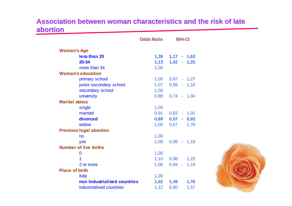#### **Association between woman characteristics and the risk of late abortion**

|                              | $1,38$ $1,17$ - $1,63$ |
|------------------------------|------------------------|
|                              | $1,02 - 1,25$          |
| 1,00                         |                        |
|                              |                        |
|                              | $1,05$ $0,87$ - $1,27$ |
|                              | $1,07$ 0,98 - 1,16     |
| 1,00                         |                        |
|                              | $0,88$ $0,74$ - 1,04   |
|                              |                        |
| 1,00                         |                        |
|                              | $0,91$ $0,83$ - 1,01   |
|                              | $0,69$ $0,57$ - $0,83$ |
|                              | 1,76<br>$1,00$ $0,57$  |
|                              |                        |
| 1,00                         |                        |
| 1,08                         | $0,99 - 1,19$          |
|                              |                        |
| 1,00                         |                        |
|                              | 1,10 0,98 1,23         |
|                              | $0,94 - 1,19$          |
|                              |                        |
| 1,00                         |                        |
| non Industrialised countries | 1,62 1,49<br>1,76      |
|                              | 0,80<br>1,57           |
|                              | 1,13<br>1,06<br>1,12   |

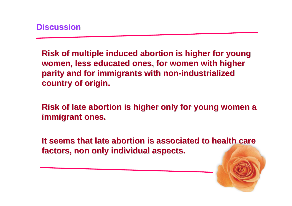**Risk of multiple induced abortion is higher for young** women, less educated ones, for women with higher **parity and for immigrants with non-industrialized country of origin. country of origin.** 

**Risk of late abortion is higher only for young women a immigrant ones.** 

It seems that late abortion is associated to health care **factors, non only individual aspects. factors, non only individual aspects.**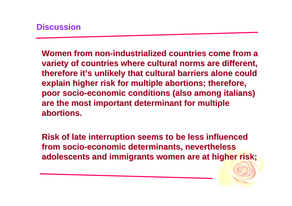**Women from non-industrialized countries come from a** variety of countries where cultural norms are different, therefore it's unlikely that cultural barriers alone could **explain higher risk for multiple abortions; therefore, poor socio-economic conditions (also among italians) are the most important determinant for multiple are the most important determinant for multiple abortions. abortions.** 

**Risk of late interruption seems to be less influenced from socio from socio-economic determinants, nevertheless economic determinants, nevertheless adolescents and immigrants women are at higher risk; adolescents and immigrants women are at higher risk;**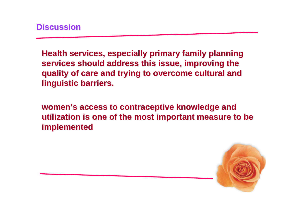**Health services, especially primary family planning** services should address this issue, improving the **quality of care and trying to overcome cultural and quality of care and trying to overcome cultural and linguistic barriers.** 

**women's access to contraceptive knowledge and utilization is one of the most important measure to be implemented implemented**